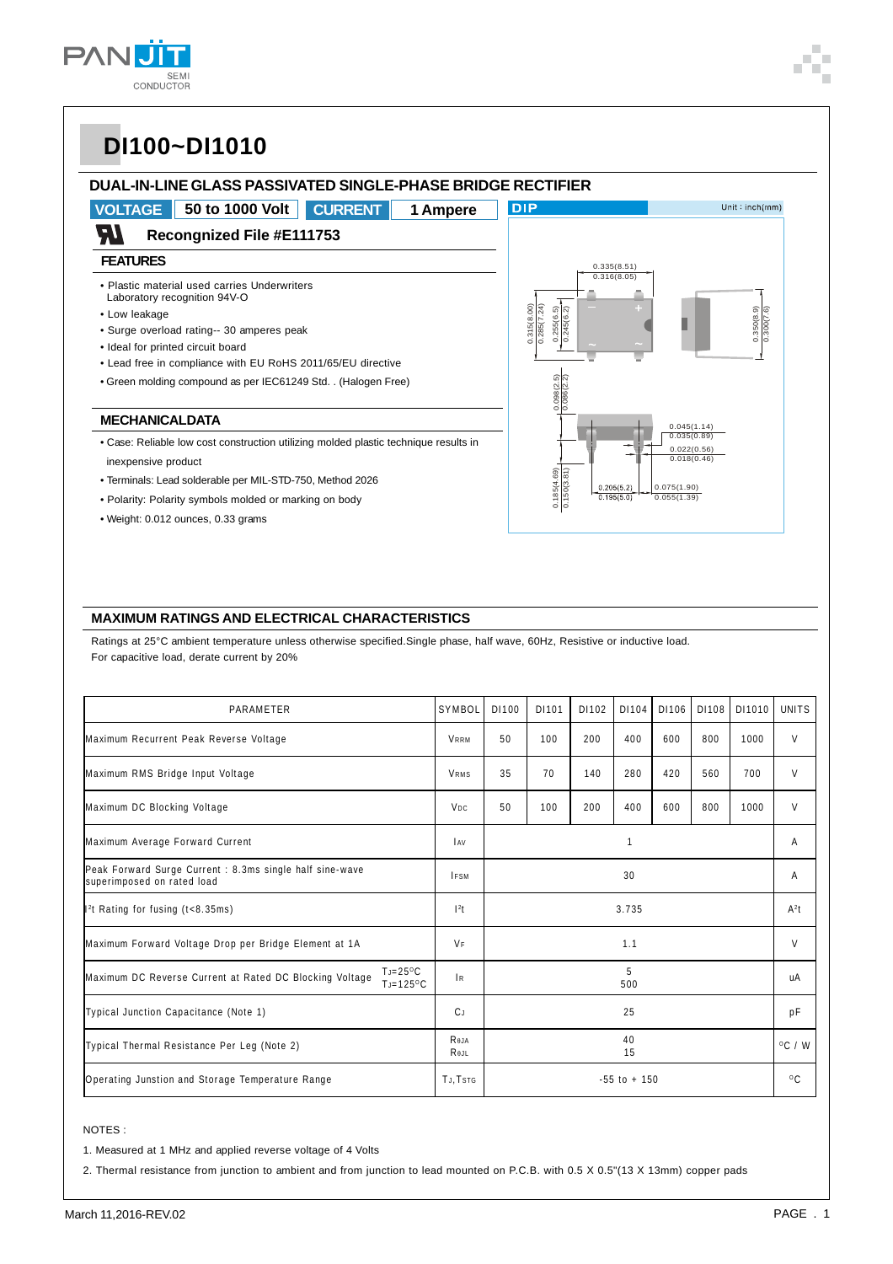

### **DI100~DI1010**

| <b>DUAL-IN-LINE GLASS PASSIVATED SINGLE-PHASE BRIDGE RECTIFIER</b>                   |                                                                         |
|--------------------------------------------------------------------------------------|-------------------------------------------------------------------------|
| 50 to 1000 Volt<br><b>VOLTAGE</b><br><b>CURRENT</b><br>1 Ampere                      | <b>DIP</b><br>Unit: $inch(mm)$                                          |
| Recongnized File #E111753                                                            |                                                                         |
| <b>FEATURES</b>                                                                      | 0.335(8.51)                                                             |
| • Plastic material used carries Underwriters<br>Laboratory recognition 94V-O         | 0.316(8.05)                                                             |
| • Low leakage                                                                        | 315(8.00)<br>0.285(7.24)<br><u>ଜା</u> ର<br>$0.350(8.9)$<br>$0.300(7.6)$ |
| • Surge overload rating-- 30 amperes peak                                            | .255(6.3)<br>olo<br>ó                                                   |
| · Ideal for printed circuit board                                                    |                                                                         |
| • Lead free in compliance with EU RoHS 2011/65/EU directive                          |                                                                         |
| • Green molding compound as per IEC61249 Std. . (Halogen Free)                       | $0.098(2.5)$<br>$0.086(2.2)$                                            |
| <b>MECHANICALDATA</b>                                                                | 0.045(1.14)                                                             |
| • Case: Reliable low cost construction utilizing molded plastic technique results in | 0.035(0.89)<br>0.022(0.56)                                              |
| inexpensive product                                                                  | 0.018(0.46)                                                             |
| • Terminals: Lead solderable per MIL-STD-750, Method 2026                            | $\frac{0.185(4.69)}{0.150(3.81)}$<br>0.205(5.2)<br>0.075(1.90)          |
| . Polarity: Polarity symbols molded or marking on body                               | 0.195(5.0)<br>0.055(1.39)                                               |
| • Weight: 0.012 ounces, 0.33 grams                                                   |                                                                         |

#### **MAXIMUM RATINGS AND ELECTRICAL CHARACTERISTICS**

Ratings at 25°C ambient temperature unless otherwise specified.Single phase, half wave, 60Hz, Resistive or inductive load. For capacitive load, derate current by 20%

| PARAMETER                                                                                                | SYMBOL                | D1100           | D1101 | D1102 | D1104 | D1106 | D1108        | D11010           | <b>UNITS</b> |
|----------------------------------------------------------------------------------------------------------|-----------------------|-----------------|-------|-------|-------|-------|--------------|------------------|--------------|
| Maximum Recurrent Peak Reverse Voltage                                                                   | <b>VRRM</b>           | 50              | 100   | 200   | 400   | 600   | 800          | 1000             | V            |
| Maximum RMS Bridge Input Voltage                                                                         | <b>VRMS</b>           | 35              | 70    | 140   | 280   | 420   | 560          | 700              | V            |
| Maximum DC Blocking Voltage                                                                              | <b>V<sub>DC</sub></b> | 50              | 100   | 200   | 400   | 600   | 800          | 1000             | V            |
| Maximum Average Forward Current                                                                          | <b>LAV</b>            | 1               |       |       |       |       |              | Α                |              |
| Peak Forward Surge Current : 8.3ms single half sine-wave<br>superimposed on rated load                   | <b>IFSM</b>           | 30              |       |       |       |       |              | A                |              |
| 1 <sup>2</sup> t Rating for fusing (t<8.35ms)                                                            | 1 <sup>2</sup> t      | 3.735           |       |       |       |       |              | $A^2t$           |              |
| Maximum Forward Voltage Drop per Bridge Element at 1A                                                    | <b>VF</b>             | 1.1             |       |       |       | V     |              |                  |              |
| $T = 25^{\circ}C$<br>Maximum DC Reverse Current at Rated DC Blocking Voltage<br>$T = 125$ <sup>o</sup> C | R                     | 5<br>500        |       |       |       |       | uA           |                  |              |
| Typical Junction Capacitance (Note 1)                                                                    | <b>C</b> J            | 25              |       |       |       |       | pF           |                  |              |
| Typical Thermal Resistance Per Leg (Note 2)                                                              | Reja<br>Rejl          | 40<br>15        |       |       |       |       |              | $^{\circ}$ C / W |              |
| Operating Junstion and Storage Temperature Range                                                         | TJ, TSTG              | $-55$ to $+150$ |       |       |       |       | $^{\circ}$ C |                  |              |

#### NOTES :

1. Measured at 1 MHz and applied reverse voltage of 4 Volts

2. Thermal resistance from junction to ambient and from junction to lead mounted on P.C.B. with 0.5 X 0.5"(13 X 13mm) copper pads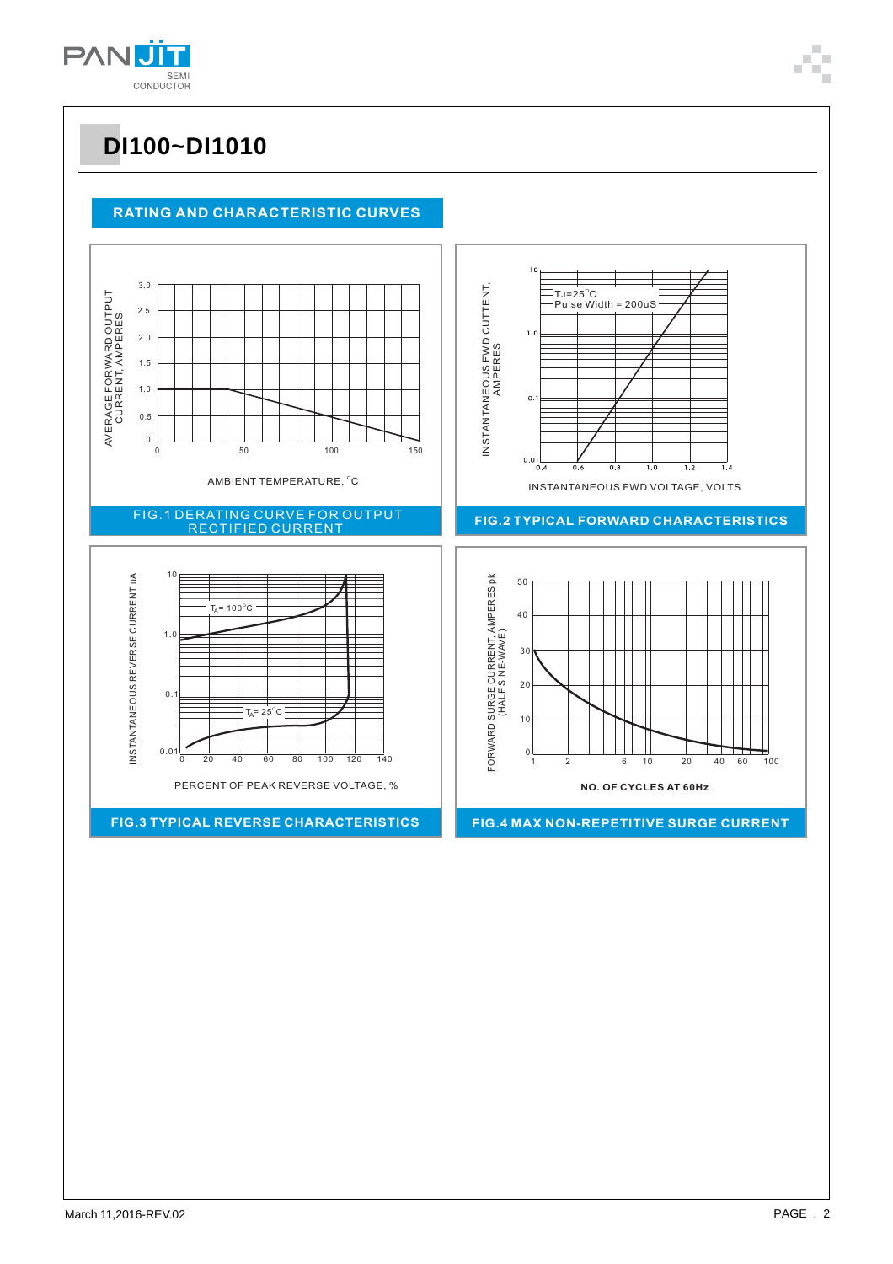# **DI100~DI1010**

#### **RATING AND CHARACTERISTIC CURVES**

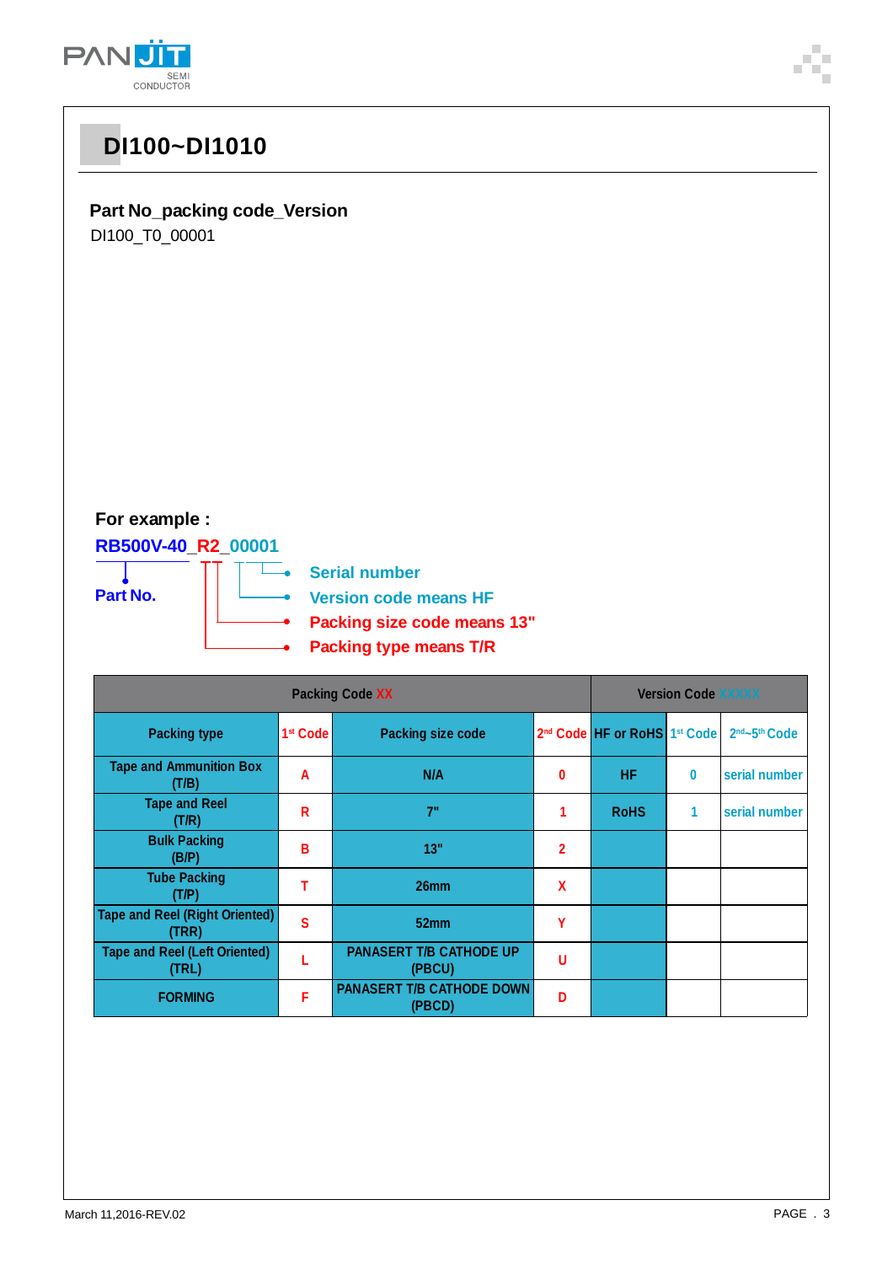

| DI100~DI1010<br>Part No_packing code_Version<br>DI100_T0_00001     |
|--------------------------------------------------------------------|
|                                                                    |
|                                                                    |
|                                                                    |
|                                                                    |
|                                                                    |
|                                                                    |
|                                                                    |
|                                                                    |
|                                                                    |
|                                                                    |
|                                                                    |
|                                                                    |
|                                                                    |
| For example :                                                      |
| RB500V-40_R2_00001                                                 |
| <b>Serial number</b><br>Part No.                                   |
| <b>Version code means HF</b><br><b>Packing size code means 13"</b> |
| <b>Packing type means T/R</b>                                      |

| <b>Packing Code XX</b>                         |                      |                                            |              | <b>Version Code XXXXX</b>                            |   |                                       |
|------------------------------------------------|----------------------|--------------------------------------------|--------------|------------------------------------------------------|---|---------------------------------------|
| <b>Packing type</b>                            | 1 <sup>st</sup> Code | <b>Packing size code</b>                   |              | 2 <sup>nd</sup> Code HF or RoHS 1 <sup>st</sup> Code |   | 2 <sup>nd</sup> ~5 <sup>th</sup> Code |
| <b>Tape and Ammunition Box</b><br>(T/B)        | A                    | N/A                                        | 0            | <b>HF</b>                                            | 0 | serial number                         |
| <b>Tape and Reel</b><br>(T/R)                  | R                    | 7"                                         |              | <b>RoHS</b>                                          | 1 | serial number                         |
| <b>Bulk Packing</b><br>(B/P)                   | в                    | 13"                                        | $\mathbf{2}$ |                                                      |   |                                       |
| <b>Tube Packing</b><br>(T/P)                   |                      | 26 <sub>mm</sub>                           | X            |                                                      |   |                                       |
| <b>Tape and Reel (Right Oriented)</b><br>(TRR) | S                    | 52 <sub>mm</sub>                           | ٧            |                                                      |   |                                       |
| <b>Tape and Reel (Left Oriented)</b><br>(TRL)  |                      | <b>PANASERT T/B CATHODE UP</b><br>(PBCU)   | U            |                                                      |   |                                       |
| <b>FORMING</b>                                 | F                    | <b>PANASERT T/B CATHODE DOWN</b><br>(PBCD) | D            |                                                      |   |                                       |

ЛP.